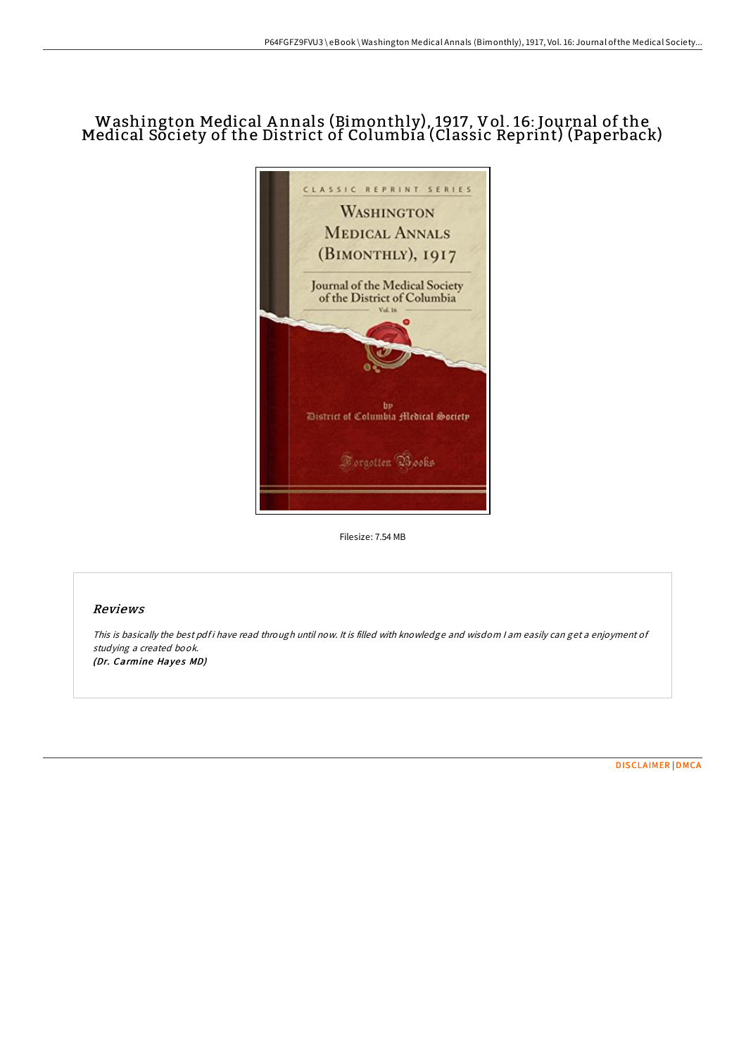# Washington Medical A nnals (Bimonthly), 1917, Vol. 16: Journal of the Medical Society of the District of Columbia (Classic Reprint) (Paperback)



Filesize: 7.54 MB

### Reviews

This is basically the best pdf i have read through until now. It is filled with knowledge and wisdom I am easily can get a enjoyment of studying <sup>a</sup> created book. (Dr. Carmine Hayes MD)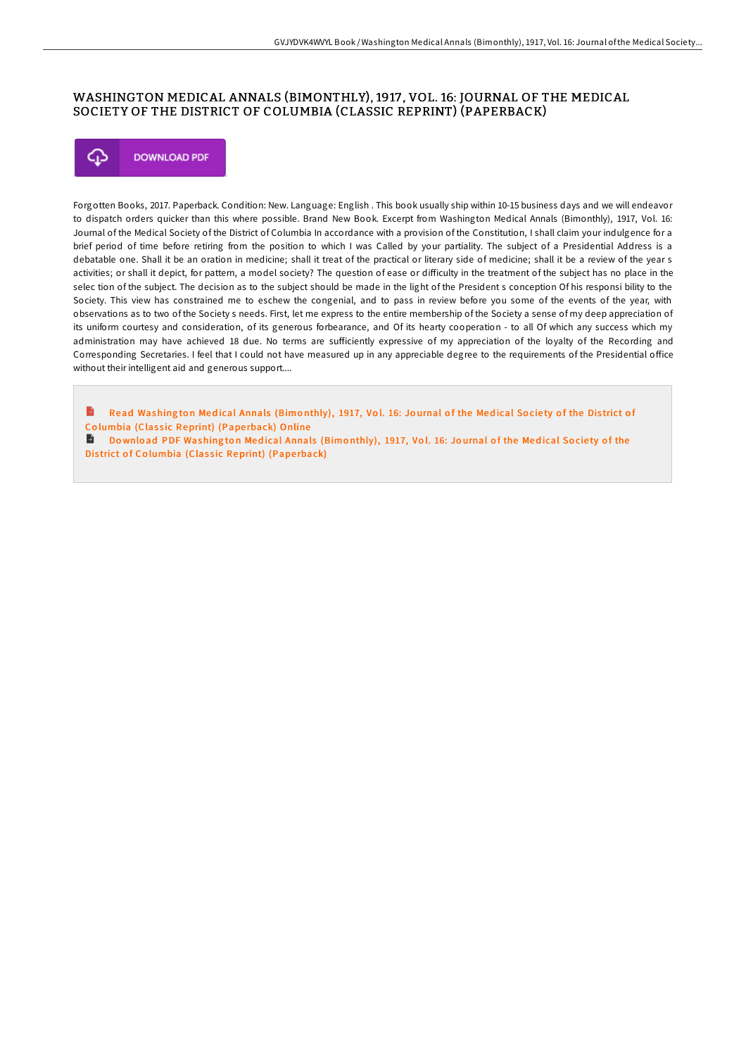## WASHINGTON MEDICAL ANNALS (BIMONTHLY), 1917 , VOL. 16: JOURNAL OF THE MEDICAL SOCIETY OF THE DISTRICT OF COLUMBIA (CLASSIC REPRINT) (PAPERBACK)



Forgotten Books, 2017. Paperback. Condition: New. Language: English . This book usually ship within 10-15 business days and we will endeavor to dispatch orders quicker than this where possible. Brand New Book. Excerpt from Washington Medical Annals (Bimonthly), 1917, Vol. 16: Journal of the Medical Society of the District of Columbia In accordance with a provision of the Constitution, I shall claim your indulgence for a brief period of time before retiring from the position to which I was Called by your partiality. The subject of a Presidential Address is a debatable one. Shall it be an oration in medicine; shall it treat of the practical or literary side of medicine; shall it be a review of the year s activities; or shall it depict, for pattern, a model society? The question of ease or difficulty in the treatment of the subject has no place in the selec tion of the subject. The decision as to the subject should be made in the light of the President s conception Of his responsi bility to the Society. This view has constrained me to eschew the congenial, and to pass in review before you some of the events of the year, with observations as to two of the Society s needs. First, let me express to the entire membership of the Society a sense of my deep appreciation of its uniform courtesy and consideration, of its generous forbearance, and Of its hearty cooperation - to all Of which any success which my administration may have achieved 18 due. No terms are sufficiently expressive of my appreciation of the loyalty of the Recording and Corresponding Secretaries. I feel that I could not have measured up in any appreciable degree to the requirements of the Presidential office without their intelligent aid and generous support....

B Read [Washing](http://almighty24.tech/washington-medical-annals-bimonthly-1917-vol-16-.html)ton Medical Annals (Bimonthly), 1917, Vol. 16: Journal of the Medical Society of the District of Columbia (Classic Reprint) (Paperback) Online

Download PDF [Washing](http://almighty24.tech/washington-medical-annals-bimonthly-1917-vol-16-.html) ton Medical Annals (Bimonthly), 1917, Vol. 16: Journal of the Medical Society of the District of Columbia (Classic Reprint) (Paperback)